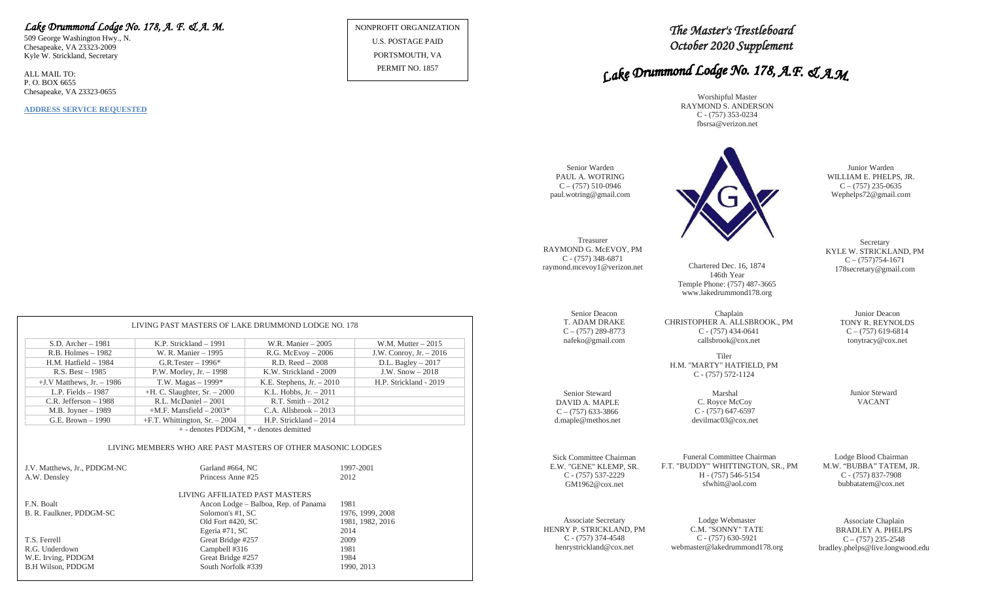## *Lake Drummond Lodge No. 178, A. F. & A. M.*

509 George Washington Hwy., N. Chesapeake, VA 23323-2009 Kyle W. Strickland, Secretary

ALL MAIL TO: P. O. BOX 6655 Chesapeake, VA 23323-0655

**ADDRESS SERVICE REQUESTED**

NONPROFIT ORGANIZATION U.S. POSTAGE PAID PORTSMOUTH, VA

PERMIT NO. 1857

## *The Master's Trestleboard October 2020 Supplement*

# Lake Drummond Lodge No. 178, A.F. & A.M.

Worshipful Master RAYMOND S. ANDERSON C - (757) 353-0234 fbsrsa@verizon.net



**Secretary** KYLE W. STRICKLAND, PM

> Junior Deacon TONY R. REYNOLDS  $C - (757)$  619-6814 tonytracy@cox.net

> > Junior Steward VACANT

Lodge Blood Chairman M.W. "BUBBA" TATEM, JR. C - (757) 837-7908 bubbatatem@cox.net

Associate Chaplain BRADLEY A. PHELPS  $C - (757)$  235-2548 bradley.phelps@live.longwood.edu

| $S.D.$ Archer $-1981$        | K.P. Strickland – 1991                  | W.R. Manier – 2005          | W.M. Mutter $-2015$      |
|------------------------------|-----------------------------------------|-----------------------------|--------------------------|
| $R.B.$ Holmes $-1982$        | W. R. Manier - 1995                     | $R.G.$ McEvoy $-2006$       | J.W. Conroy, Jr. $-2016$ |
| $H.M.$ Hatfield $-1984$      | G.R.Tester $-1996*$                     | $R.D. Reed - 2008$          | D.L. Bagley $-2017$      |
| $R.S. Best - 1985$           | P.W. Morley, Jr. $-1998$                | K.W. Strickland - 2009      | J.W. $Show - 2018$       |
| $+J.V$ Matthews, Jr. $-1986$ | T.W. Magas $-1999*$                     | K.E. Stephens, $Jr. - 2010$ | H.P. Strickland - 2019   |
| L.P. Fields $-1987$          | $+H$ . C. Slaughter, Sr. $-2000$        | K.L. Hobbs, $Jr. - 2011$    |                          |
| C.R. Jefferson $-1988$       | R.L. McDaniel - 2001                    | $R.T. Smith - 2012$         |                          |
| $M.B.$ Joyner $-1989$        | $+M.F.$ Mansfield $-2003*$              | $C.A.$ Allsbrook $-2013$    |                          |
| G.E. Brown - 1990            | $+F.T.$ Whittington, Sr. $-2004$        | H.P. Strickland – 2014      |                          |
|                              | + - denotes PDDGM, * - denotes demitted |                             |                          |

#### LIVING MEMBERS WHO ARE PAST MASTERS OF OTHER MASONIC LODGES

| J.V. Matthews, Jr., PDDGM-NC | Garland #664, NC<br>Princess Anne#25 | 1997-2001<br>2012 |
|------------------------------|--------------------------------------|-------------------|
| A.W. Densley                 |                                      |                   |
|                              | LIVING AFFILIATED PAST MASTERS       |                   |
| F.N. Boalt                   | Ancon Lodge – Balboa, Rep. of Panama | 1981              |
| B. R. Faulkner, PDDGM-SC     | Solomon's #1, SC                     | 1976, 1999, 2008  |
|                              | Old Fort #420, SC                    | 1981, 1982, 2016  |
|                              | Egeria #71, SC                       | 2014              |
| T.S. Ferrell                 | Great Bridge #257                    | 2009              |
| R.G. Underdown               | Campbell #316                        | 1981              |
| W.E. Irving, PDDGM           | Great Bridge #257                    | 1984              |
| <b>B.H Wilson, PDDGM</b>     | South Norfolk #339                   | 1990, 2013        |